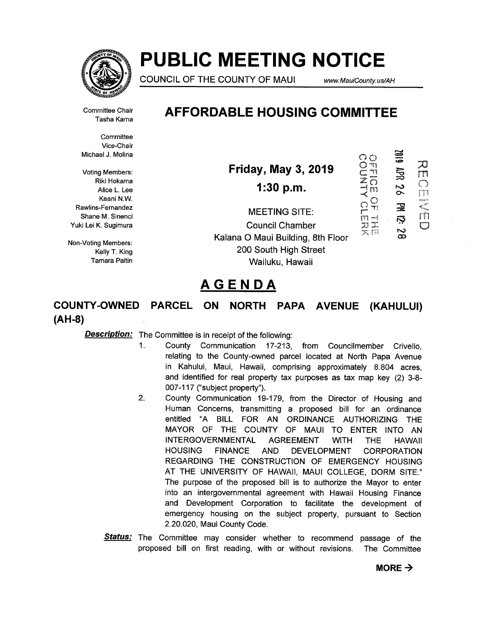

# PUBLIC MEETING NOTICE

COUNCIL OF THE COUNTY OF MAUI www.MauiCounty.us/AH

610Z

5<br>35

73

 $\overline{11}$  $\left( \begin{array}{c} \end{array} \right)$ 

Tasha Kama

Committee Chair AFFORDABLE HOUSING COMMITTEE

**Committee** Vice-Chair

Keani N.W.  $\sim$  C)

wichael J. Molina  $\bigcirc$  and  $\bigcirc$  and  $\bigcirc$  and  $\bigcirc$  and  $\bigcirc$  and  $\bigcirc$  and  $\bigcirc$  and  $\bigcirc$  and  $\bigcirc$  and  $\bigcirc$  and  $\bigcirc$  and  $\bigcirc$  and  $\bigcirc$  and  $\bigcirc$  and  $\bigcirc$  and  $\bigcirc$  and  $\bigcirc$  and  $\bigcirc$  and  $\bigcirc$  and  $\bigcirc$  and  $\big$ Voting Members: **Friday, May 3, 2019** Riki Hokama  $\overline{z}$   $\overline{z}$ mg Members:<br>
Riki Hokama<br>
Alice L. Lee<br>
Keani N.W.<br>
S-Fernandez<br>
Alice L. Lee<br>
Alice L. Lee<br>
Alice L. Lee<br>
Alice L. Lee<br>
Alice L. Lee<br>
Alice L. Lee<br>
Alice L. Lee<br>
Alice L. Lee<br>
Alice L. Lee<br>
Alice L. Lee<br>
Alice L. Lee<br>  $\$ 

Nearly N.W.<br>Rawlins-Fernandez MEETING SITE:  $\Omega_{\rm T}^{\rm O}$ Shane M. Sinenci **in the state of the SILE** in  $\overline{m}$   $\overline{m}$   $\overline{m}$   $\overline{m}$   $\overline{m}$ NEETING SITE:<br>
Shane M. Sinenci<br>
Yuki Lei K. Sugimura<br>
Yuki Lei K. Sugimura<br>
Council Chamber<br>
Council Chamber<br>
Council Chamber<br>
Council Chamber<br>
Council Chamber<br>
Council Chamber<br>
Council Chamber<br>
Council Chamber<br>
Council C Non-Voting Members: Non-Voting Members: Kelly T. King **Example 200 South High Street** Tamara Paltin Wailuku, Hawaii

## AGENDA

COUNTY-OWNED PARCEL ON NORTH PAPA AVENUE (KAHULUI) (AH-8)

**Description:** The Committee is in receipt of the following:

- I. County Communication 17-213, from Councilmember Crivello, relating to the County-owned parcel located at North Papa Avenue in Kahului, Maui, Hawaii, comprising approximately 8.804 acres, and identified for real property tax purposes as tax map key (2) 3-8- 007-117 ("subject property").
- 2. County Communication 19-179, from the Director of Housing and Human Concerns, transmitting a proposed bill for an ordinance entitled "A BILL FOR AN ORDINANCE AUTHORIZING THE MAYOR OF THE COUNTY OF MAUI TO ENTER INTO AN INTERGOVERNMENTAL AGREEMENT WITH THE HAWAII HOUSING FINANCE AND DEVELOPMENT CORPORATION REGARDING THE CONSTRUCTION OF EMERGENCY HOUSING AT THE UNIVERSITY OF HAWAII, MAUI COLLEGE, DORM SITE." The purpose of the proposed bill is to authorize the Mayor to enter into an intergovernmental agreement with Hawaii Housing Finance and Development Corporation to facilitate the development of emergency housing on the subject property, pursuant to Section 2.20.020, Maui County Code.
- Status: The Committee may consider whether to recommend passage of the proposed bill on first reading, with or without revisions. The Committee